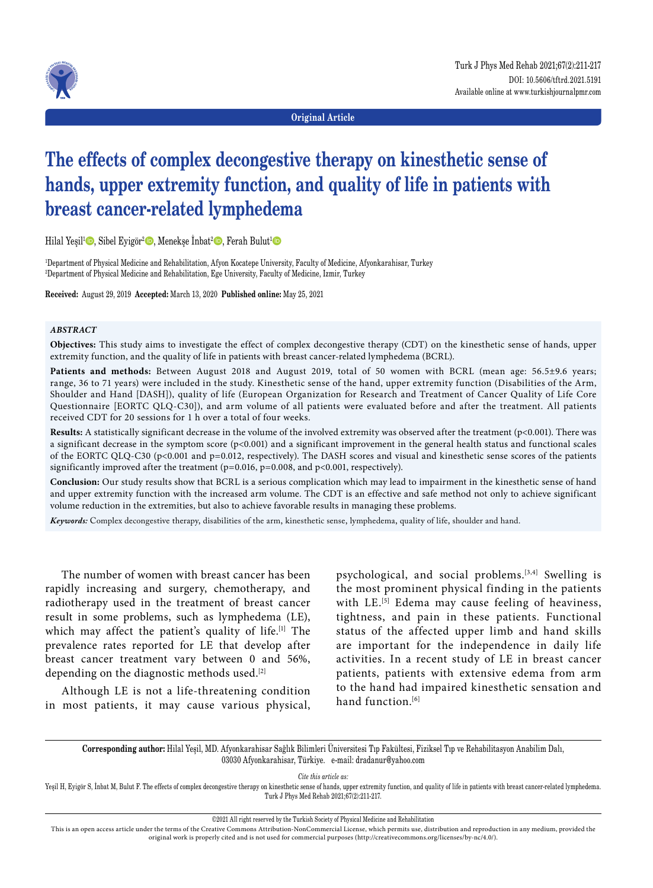

**Original Article**

# **The effects of complex decongestive therapy on kinesthetic sense of hands, upper extremity function, and quality of life in patients with breast cancer-related lymphedema**

Hilal Yeşil<sup>ı</sup> D, Sibel Eyigör<sup>2</sup> D, Menekşe İnbat<sup>2</sup> D, Ferah Bulut<sup>ı</sup> D

1 Department of Physical Medicine and Rehabilitation, Afyon Kocatepe University, Faculty of Medicine, Afyonkarahisar, Turkey 2 Department of Physical Medicine and Rehabilitation, Ege University, Faculty of Medicine, Izmir, Turkey

**Received:** August 29, 2019 **Accepted:** March 13, 2020 **Published online:** May 25, 2021

#### *ABSTRACT*

**Objectives:** This study aims to investigate the effect of complex decongestive therapy (CDT) on the kinesthetic sense of hands, upper extremity function, and the quality of life in patients with breast cancer-related lymphedema (BCRL).

**Patients and methods:** Between August 2018 and August 2019, total of 50 women with BCRL (mean age: 56.5±9.6 years; range, 36 to 71 years) were included in the study. Kinesthetic sense of the hand, upper extremity function (Disabilities of the Arm, Shoulder and Hand [DASH]), quality of life (European Organization for Research and Treatment of Cancer Quality of Life Core Questionnaire [EORTC QLQ-C30]), and arm volume of all patients were evaluated before and after the treatment. All patients received CDT for 20 sessions for 1 h over a total of four weeks.

**Results:** A statistically significant decrease in the volume of the involved extremity was observed after the treatment (p<0.001). There was a significant decrease in the symptom score (p<0.001) and a significant improvement in the general health status and functional scales of the EORTC QLQ-C30 (p<0.001 and p=0.012, respectively). The DASH scores and visual and kinesthetic sense scores of the patients significantly improved after the treatment ( $p=0.016$ ,  $p=0.008$ , and  $p<0.001$ , respectively).

**Conclusion:** Our study results show that BCRL is a serious complication which may lead to impairment in the kinesthetic sense of hand and upper extremity function with the increased arm volume. The CDT is an effective and safe method not only to achieve significant volume reduction in the extremities, but also to achieve favorable results in managing these problems.

*Keywords:* Complex decongestive therapy, disabilities of the arm, kinesthetic sense, lymphedema, quality of life, shoulder and hand.

The number of women with breast cancer has been rapidly increasing and surgery, chemotherapy, and radiotherapy used in the treatment of breast cancer result in some problems, such as lymphedema (LE), which may affect the patient's quality of life.<sup>[1]</sup> The prevalence rates reported for LE that develop after breast cancer treatment vary between 0 and 56%, depending on the diagnostic methods used.[2]

Although LE is not a life-threatening condition in most patients, it may cause various physical, psychological, and social problems.[3,4] Swelling is the most prominent physical finding in the patients with LE.<sup>[5]</sup> Edema may cause feeling of heaviness, tightness, and pain in these patients. Functional status of the affected upper limb and hand skills are important for the independence in daily life activities. In a recent study of LE in breast cancer patients, patients with extensive edema from arm to the hand had impaired kinesthetic sensation and hand function.<sup>[6]</sup>

**Corresponding author:** Hilal Yeşil, MD. Afyonkarahisar Sağlık Bilimleri Üniversitesi Tıp Fakültesi, Fiziksel Tıp ve Rehabilitasyon Anabilim Dalı, 03030 Afyonkarahisar, Türkiye. e-mail: dradanur@yahoo.com

*Cite this article as:*

Yeşil H, Eyigör S, İnbat M, Bulut F. The effects of complex decongestive therapy on kinesthetic sense of hands, upper extremity function, and quality of life in patients with breast cancer-related lymphedema. Turk J Phys Med Rehab 2021;67(2):211-217.

©2021 All right reserved by the Turkish Society of Physical Medicine and Rehabilitation

This is an open access article under the terms of the Creative Commons Attribution-NonCommercial License, which permits use, distribution and reproduction in any medium, provided the original work is properly cited and is not used for commercial purposes (http://creativecommons.org/licenses/by-nc/4.0/).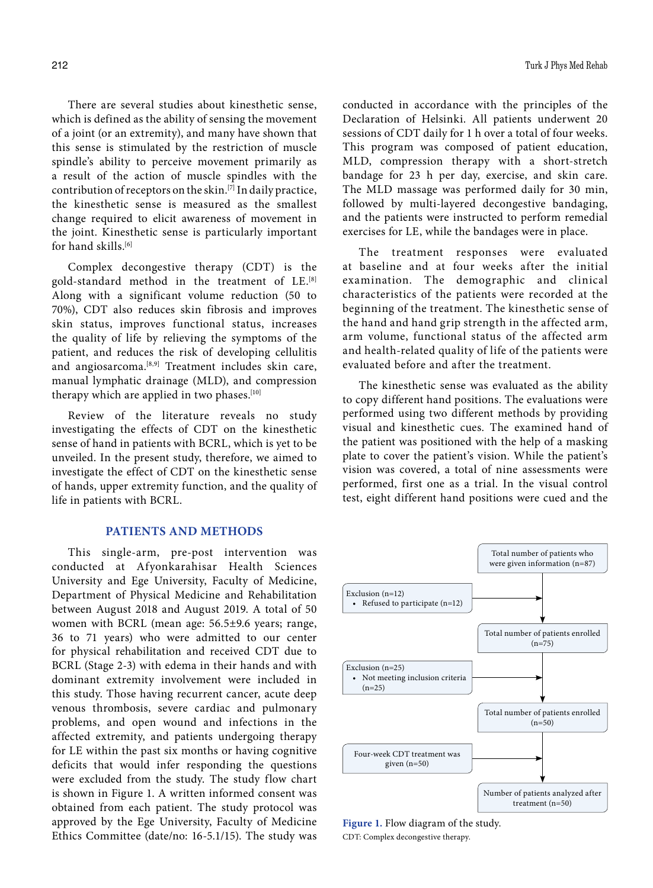There are several studies about kinesthetic sense, which is defined as the ability of sensing the movement of a joint (or an extremity), and many have shown that this sense is stimulated by the restriction of muscle spindle's ability to perceive movement primarily as a result of the action of muscle spindles with the contribution of receptors on the skin.[7] In daily practice, the kinesthetic sense is measured as the smallest change required to elicit awareness of movement in the joint. Kinesthetic sense is particularly important for hand skills.<sup>[6]</sup>

Complex decongestive therapy (CDT) is the gold-standard method in the treatment of LE.[8] Along with a significant volume reduction (50 to 70%), CDT also reduces skin fibrosis and improves skin status, improves functional status, increases the quality of life by relieving the symptoms of the patient, and reduces the risk of developing cellulitis and angiosarcoma.<sup>[8,9]</sup> Treatment includes skin care, manual lymphatic drainage (MLD), and compression therapy which are applied in two phases.<sup>[10]</sup>

Review of the literature reveals no study investigating the effects of CDT on the kinesthetic sense of hand in patients with BCRL, which is yet to be unveiled. In the present study, therefore, we aimed to investigate the effect of CDT on the kinesthetic sense of hands, upper extremity function, and the quality of life in patients with BCRL.

#### **PATIENTS AND METHODS**

This single-arm, pre-post intervention was conducted at Afyonkarahisar Health Sciences University and Ege University, Faculty of Medicine, Department of Physical Medicine and Rehabilitation between August 2018 and August 2019. A total of 50 women with BCRL (mean age: 56.5±9.6 years; range, 36 to 71 years) who were admitted to our center for physical rehabilitation and received CDT due to BCRL (Stage 2-3) with edema in their hands and with dominant extremity involvement were included in this study. Those having recurrent cancer, acute deep venous thrombosis, severe cardiac and pulmonary problems, and open wound and infections in the affected extremity, and patients undergoing therapy for LE within the past six months or having cognitive deficits that would infer responding the questions were excluded from the study. The study flow chart is shown in Figure 1. A written informed consent was obtained from each patient. The study protocol was approved by the Ege University, Faculty of Medicine Ethics Committee (date/no: 16-5.1/15). The study was conducted in accordance with the principles of the Declaration of Helsinki. All patients underwent 20 sessions of CDT daily for 1 h over a total of four weeks. This program was composed of patient education, MLD, compression therapy with a short-stretch bandage for 23 h per day, exercise, and skin care. The MLD massage was performed daily for 30 min, followed by multi-layered decongestive bandaging, and the patients were instructed to perform remedial exercises for LE, while the bandages were in place.

The treatment responses were evaluated at baseline and at four weeks after the initial examination. The demographic and clinical characteristics of the patients were recorded at the beginning of the treatment. The kinesthetic sense of the hand and hand grip strength in the affected arm, arm volume, functional status of the affected arm and health-related quality of life of the patients were evaluated before and after the treatment.

The kinesthetic sense was evaluated as the ability to copy different hand positions. The evaluations were performed using two different methods by providing visual and kinesthetic cues. The examined hand of the patient was positioned with the help of a masking plate to cover the patient's vision. While the patient's vision was covered, a total of nine assessments were performed, first one as a trial. In the visual control test, eight different hand positions were cued and the



**Figure 1.** Flow diagram of the study. CDT: Complex decongestive therapy.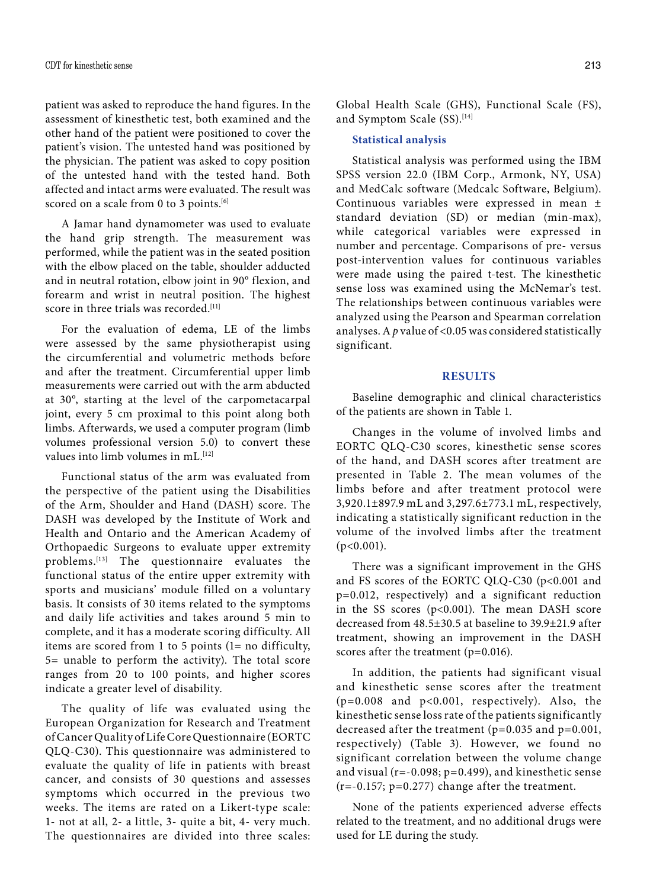patient was asked to reproduce the hand figures. In the assessment of kinesthetic test, both examined and the other hand of the patient were positioned to cover the patient's vision. The untested hand was positioned by the physician. The patient was asked to copy position of the untested hand with the tested hand. Both affected and intact arms were evaluated. The result was scored on a scale from 0 to 3 points.<sup>[6]</sup>

A Jamar hand dynamometer was used to evaluate the hand grip strength. The measurement was performed, while the patient was in the seated position with the elbow placed on the table, shoulder adducted and in neutral rotation, elbow joint in 90° flexion, and forearm and wrist in neutral position. The highest score in three trials was recorded.<sup>[11]</sup>

For the evaluation of edema, LE of the limbs were assessed by the same physiotherapist using the circumferential and volumetric methods before and after the treatment. Circumferential upper limb measurements were carried out with the arm abducted at 30°, starting at the level of the carpometacarpal joint, every 5 cm proximal to this point along both limbs. Afterwards, we used a computer program (limb volumes professional version 5.0) to convert these values into limb volumes in mL.<sup>[12]</sup>

Functional status of the arm was evaluated from the perspective of the patient using the Disabilities of the Arm, Shoulder and Hand (DASH) score. The DASH was developed by the Institute of Work and Health and Ontario and the American Academy of Orthopaedic Surgeons to evaluate upper extremity problems.[13] The questionnaire evaluates the functional status of the entire upper extremity with sports and musicians' module filled on a voluntary basis. It consists of 30 items related to the symptoms and daily life activities and takes around 5 min to complete, and it has a moderate scoring difficulty. All items are scored from 1 to 5 points (1= no difficulty, 5= unable to perform the activity). The total score ranges from 20 to 100 points, and higher scores indicate a greater level of disability.

The quality of life was evaluated using the European Organization for Research and Treatment of Cancer Quality of Life Core Questionnaire (EORTC QLQ-C30). This questionnaire was administered to evaluate the quality of life in patients with breast cancer, and consists of 30 questions and assesses symptoms which occurred in the previous two weeks. The items are rated on a Likert-type scale: 1- not at all, 2- a little, 3- quite a bit, 4- very much. The questionnaires are divided into three scales: Global Health Scale (GHS), Functional Scale (FS), and Symptom Scale (SS).<sup>[14]</sup>

## **Statistical analysis**

Statistical analysis was performed using the IBM SPSS version 22.0 (IBM Corp., Armonk, NY, USA) and MedCalc software (Medcalc Software, Belgium). Continuous variables were expressed in mean ± standard deviation (SD) or median (min-max), while categorical variables were expressed in number and percentage. Comparisons of pre- versus post-intervention values for continuous variables were made using the paired t-test. The kinesthetic sense loss was examined using the McNemar's test. The relationships between continuous variables were analyzed using the Pearson and Spearman correlation analyses. A *p* value of <0.05 was considered statistically significant.

## **RESULTS**

Baseline demographic and clinical characteristics of the patients are shown in Table 1.

Changes in the volume of involved limbs and EORTC QLQ-C30 scores, kinesthetic sense scores of the hand, and DASH scores after treatment are presented in Table 2. The mean volumes of the limbs before and after treatment protocol were 3,920.1±897.9 mL and 3,297.6±773.1 mL, respectively, indicating a statistically significant reduction in the volume of the involved limbs after the treatment (p<0.001).

There was a significant improvement in the GHS and FS scores of the EORTC QLQ-C30 (p<0.001 and p=0.012, respectively) and a significant reduction in the SS scores (p<0.001). The mean DASH score decreased from 48.5±30.5 at baseline to 39.9±21.9 after treatment, showing an improvement in the DASH scores after the treatment (p=0.016).

In addition, the patients had significant visual and kinesthetic sense scores after the treatment (p=0.008 and p<0.001, respectively). Also, the kinesthetic sense loss rate of the patients significantly decreased after the treatment (p=0.035 and p=0.001, respectively) (Table 3). However, we found no significant correlation between the volume change and visual (r=-0.098; p=0.499), and kinesthetic sense (r=-0.157; p=0.277) change after the treatment.

None of the patients experienced adverse effects related to the treatment, and no additional drugs were used for LE during the study.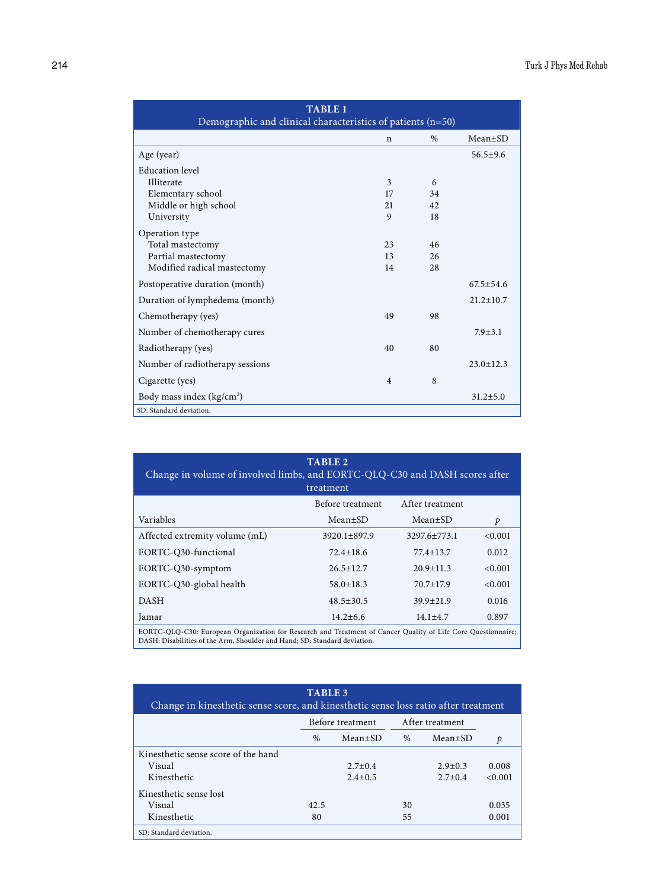| <b>TABLE 1</b><br>Demographic and clinical characteristics of patients (n=50) |                |      |                 |  |  |  |  |
|-------------------------------------------------------------------------------|----------------|------|-----------------|--|--|--|--|
|                                                                               | $\mathbf n$    | $\%$ | $Mean \pm SD$   |  |  |  |  |
| Age (year)                                                                    |                |      | $56.5 \pm 9.6$  |  |  |  |  |
| Education level                                                               |                |      |                 |  |  |  |  |
| Illiterate                                                                    | 3              | 6    |                 |  |  |  |  |
| Elementary school                                                             | 17             | 34   |                 |  |  |  |  |
| Middle or high school                                                         | 21             | 42   |                 |  |  |  |  |
| University                                                                    | 9              | 18   |                 |  |  |  |  |
| Operation type                                                                |                |      |                 |  |  |  |  |
| Total mastectomy                                                              | 23             | 46   |                 |  |  |  |  |
| Partial mastectomy                                                            | 13             | 26   |                 |  |  |  |  |
| Modified radical mastectomy                                                   | 14             | 28   |                 |  |  |  |  |
| Postoperative duration (month)                                                |                |      | $67.5 \pm 54.6$ |  |  |  |  |
| Duration of lymphedema (month)                                                |                |      | $21.2 \pm 10.7$ |  |  |  |  |
| Chemotherapy (yes)                                                            | 49             | 98   |                 |  |  |  |  |
| Number of chemotherapy cures                                                  |                |      | $7.9 \pm 3.1$   |  |  |  |  |
| Radiotherapy (yes)                                                            | 40             | 80   |                 |  |  |  |  |
| Number of radiotherapy sessions                                               |                |      | $23.0 \pm 12.3$ |  |  |  |  |
| Cigarette (yes)                                                               | $\overline{4}$ | 8    |                 |  |  |  |  |
| Body mass index (kg/cm <sup>2</sup> )                                         |                |      | $31.2 \pm 5.0$  |  |  |  |  |
| SD: Standard deviation.                                                       |                |      |                 |  |  |  |  |

| <b>TABLE 2</b><br>Change in volume of involved limbs, and EORTC-QLQ-C30 and DASH scores after<br>treatment                                                                                 |                    |                    |         |  |  |  |  |  |
|--------------------------------------------------------------------------------------------------------------------------------------------------------------------------------------------|--------------------|--------------------|---------|--|--|--|--|--|
|                                                                                                                                                                                            | Before treatment   | After treatment    |         |  |  |  |  |  |
| Variables                                                                                                                                                                                  | Mean±SD            | $Mean \pm SD$      | p       |  |  |  |  |  |
| Affected extremity volume (mL)                                                                                                                                                             | $3920.1 \pm 897.9$ | $3297.6 \pm 773.1$ | < 0.001 |  |  |  |  |  |
| EORTC-Q30-functional                                                                                                                                                                       | $72.4 \pm 18.6$    | $77.4 \pm 13.7$    | 0.012   |  |  |  |  |  |
| EORTC-Q30-symptom                                                                                                                                                                          | $26.5 \pm 12.7$    | $20.9 \pm 11.3$    | < 0.001 |  |  |  |  |  |
| EORTC-Q30-global health                                                                                                                                                                    | $58.0 \pm 18.3$    | $70.7 \pm 17.9$    | < 0.001 |  |  |  |  |  |
| <b>DASH</b>                                                                                                                                                                                | $48.5 \pm 30.5$    | $39.9 \pm 21.9$    | 0.016   |  |  |  |  |  |
| Jamar                                                                                                                                                                                      | $14.2 \pm 6.6$     | $14.1 + 4.7$       | 0.897   |  |  |  |  |  |
| EORTC-QLQ-C30: European Organization for Research and Treatment of Cancer Quality of Life Core Questionnaire;<br>DASH: Disabilities of the Arm, Shoulder and Hand; SD: Standard deviation. |                    |                    |         |  |  |  |  |  |

| <b>TABLE 3</b><br>Change in kinesthetic sense score, and kinesthetic sense loss ratio after treatment |      |                  |      |                 |         |  |  |
|-------------------------------------------------------------------------------------------------------|------|------------------|------|-----------------|---------|--|--|
|                                                                                                       |      | Before treatment |      | After treatment |         |  |  |
|                                                                                                       | $\%$ | $Mean \pm SD$    | $\%$ | $Mean \pm SD$   | p       |  |  |
| Kinesthetic sense score of the hand                                                                   |      |                  |      |                 |         |  |  |
| Visual                                                                                                |      | $2.7 + 0.4$      |      | $2.9 + 0.3$     | 0.008   |  |  |
| Kinesthetic                                                                                           |      | $2.4 \pm 0.5$    |      | $2.7 \pm 0.4$   | < 0.001 |  |  |
| Kinesthetic sense lost                                                                                |      |                  |      |                 |         |  |  |
| Visual                                                                                                | 42.5 |                  | 30   |                 | 0.035   |  |  |
| Kinesthetic                                                                                           | 80   |                  | 55   |                 | 0.001   |  |  |
| SD: Standard deviation.                                                                               |      |                  |      |                 |         |  |  |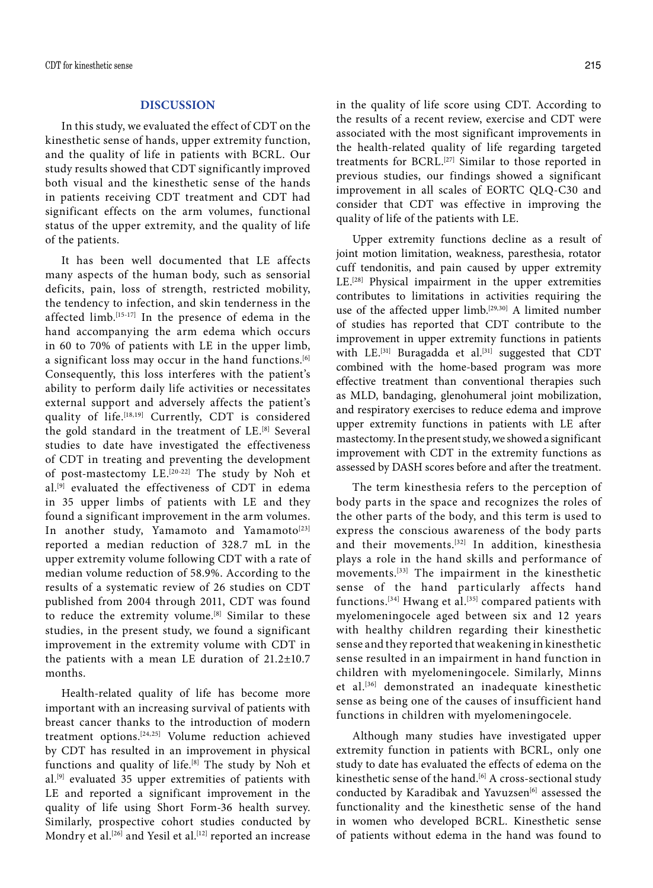## **DISCUSSION**

In this study, we evaluated the effect of CDT on the kinesthetic sense of hands, upper extremity function, and the quality of life in patients with BCRL. Our study results showed that CDT significantly improved both visual and the kinesthetic sense of the hands in patients receiving CDT treatment and CDT had significant effects on the arm volumes, functional status of the upper extremity, and the quality of life of the patients.

It has been well documented that LE affects many aspects of the human body, such as sensorial deficits, pain, loss of strength, restricted mobility, the tendency to infection, and skin tenderness in the affected limb.[15-17] In the presence of edema in the hand accompanying the arm edema which occurs in 60 to 70% of patients with LE in the upper limb, a significant loss may occur in the hand functions.<sup>[6]</sup> Consequently, this loss interferes with the patient's ability to perform daily life activities or necessitates external support and adversely affects the patient's quality of life.[18,19] Currently, CDT is considered the gold standard in the treatment of LE.<sup>[8]</sup> Several studies to date have investigated the effectiveness of CDT in treating and preventing the development of post-mastectomy LE.[20-22] The study by Noh et al.[9] evaluated the effectiveness of CDT in edema in 35 upper limbs of patients with LE and they found a significant improvement in the arm volumes. In another study, Yamamoto and Yamamoto<sup>[23]</sup> reported a median reduction of 328.7 mL in the upper extremity volume following CDT with a rate of median volume reduction of 58.9%. According to the results of a systematic review of 26 studies on CDT published from 2004 through 2011, CDT was found to reduce the extremity volume.<sup>[8]</sup> Similar to these studies, in the present study, we found a significant improvement in the extremity volume with CDT in the patients with a mean LE duration of 21.2±10.7 months.

Health-related quality of life has become more important with an increasing survival of patients with breast cancer thanks to the introduction of modern treatment options.[24,25] Volume reduction achieved by CDT has resulted in an improvement in physical functions and quality of life.[8] The study by Noh et al.[9] evaluated 35 upper extremities of patients with LE and reported a significant improvement in the quality of life using Short Form-36 health survey. Similarly, prospective cohort studies conducted by Mondry et al.<sup>[26]</sup> and Yesil et al.<sup>[12]</sup> reported an increase

in the quality of life score using CDT. According to the results of a recent review, exercise and CDT were associated with the most significant improvements in the health-related quality of life regarding targeted treatments for BCRL.<sup>[27]</sup> Similar to those reported in previous studies, our findings showed a significant improvement in all scales of EORTC QLQ-C30 and consider that CDT was effective in improving the quality of life of the patients with LE.

Upper extremity functions decline as a result of joint motion limitation, weakness, paresthesia, rotator cuff tendonitis, and pain caused by upper extremity LE.[28] Physical impairment in the upper extremities contributes to limitations in activities requiring the use of the affected upper limb.<sup>[29,30]</sup> A limited number of studies has reported that CDT contribute to the improvement in upper extremity functions in patients with  $LE.$ <sup>[31]</sup> Buragadda et al.<sup>[31]</sup> suggested that CDT combined with the home-based program was more effective treatment than conventional therapies such as MLD, bandaging, glenohumeral joint mobilization, and respiratory exercises to reduce edema and improve upper extremity functions in patients with LE after mastectomy. In the present study, we showed a significant improvement with CDT in the extremity functions as assessed by DASH scores before and after the treatment.

The term kinesthesia refers to the perception of body parts in the space and recognizes the roles of the other parts of the body, and this term is used to express the conscious awareness of the body parts and their movements.<sup>[32]</sup> In addition, kinesthesia plays a role in the hand skills and performance of movements.[33] The impairment in the kinesthetic sense of the hand particularly affects hand functions.<sup>[34]</sup> Hwang et al.<sup>[35]</sup> compared patients with myelomeningocele aged between six and 12 years with healthy children regarding their kinesthetic sense and they reported that weakening in kinesthetic sense resulted in an impairment in hand function in children with myelomeningocele. Similarly, Minns et al.[36] demonstrated an inadequate kinesthetic sense as being one of the causes of insufficient hand functions in children with myelomeningocele.

Although many studies have investigated upper extremity function in patients with BCRL, only one study to date has evaluated the effects of edema on the kinesthetic sense of the hand.<sup>[6]</sup> A cross-sectional study conducted by Karadibak and Yavuzsen<sup>[6]</sup> assessed the functionality and the kinesthetic sense of the hand in women who developed BCRL. Kinesthetic sense of patients without edema in the hand was found to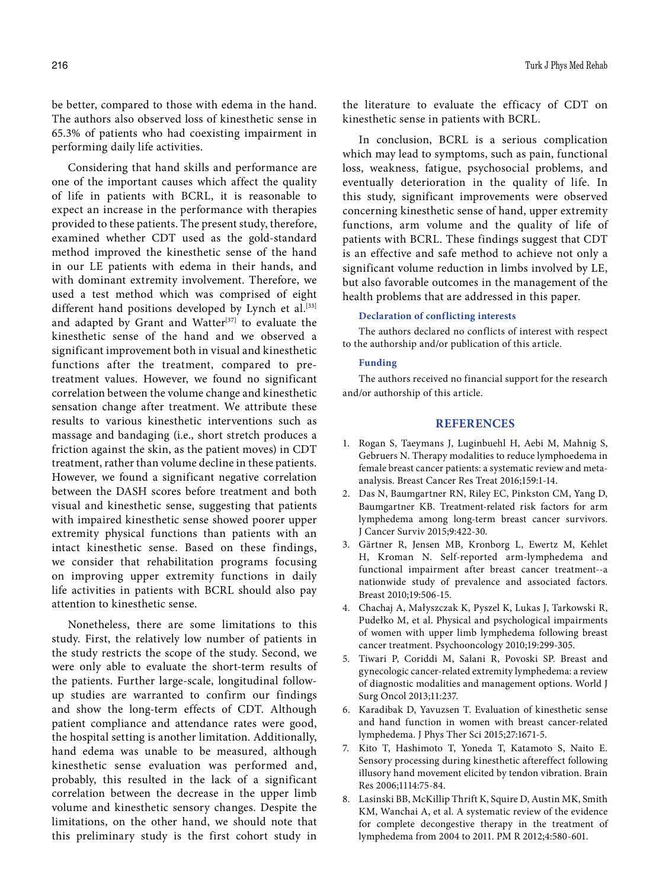be better, compared to those with edema in the hand. The authors also observed loss of kinesthetic sense in 65.3% of patients who had coexisting impairment in performing daily life activities.

Considering that hand skills and performance are one of the important causes which affect the quality of life in patients with BCRL, it is reasonable to expect an increase in the performance with therapies provided to these patients. The present study, therefore, examined whether CDT used as the gold-standard method improved the kinesthetic sense of the hand in our LE patients with edema in their hands, and with dominant extremity involvement. Therefore, we used a test method which was comprised of eight different hand positions developed by Lynch et al.<sup>[33]</sup> and adapted by Grant and Watter<sup>[37]</sup> to evaluate the kinesthetic sense of the hand and we observed a significant improvement both in visual and kinesthetic functions after the treatment, compared to pretreatment values. However, we found no significant correlation between the volume change and kinesthetic sensation change after treatment. We attribute these results to various kinesthetic interventions such as massage and bandaging (i.e., short stretch produces a friction against the skin, as the patient moves) in CDT treatment, rather than volume decline in these patients. However, we found a significant negative correlation between the DASH scores before treatment and both visual and kinesthetic sense, suggesting that patients with impaired kinesthetic sense showed poorer upper extremity physical functions than patients with an intact kinesthetic sense. Based on these findings, we consider that rehabilitation programs focusing on improving upper extremity functions in daily life activities in patients with BCRL should also pay attention to kinesthetic sense.

Nonetheless, there are some limitations to this study. First, the relatively low number of patients in the study restricts the scope of the study. Second, we were only able to evaluate the short-term results of the patients. Further large-scale, longitudinal followup studies are warranted to confirm our findings and show the long-term effects of CDT. Although patient compliance and attendance rates were good, the hospital setting is another limitation. Additionally, hand edema was unable to be measured, although kinesthetic sense evaluation was performed and, probably, this resulted in the lack of a significant correlation between the decrease in the upper limb volume and kinesthetic sensory changes. Despite the limitations, on the other hand, we should note that this preliminary study is the first cohort study in

the literature to evaluate the efficacy of CDT on kinesthetic sense in patients with BCRL.

In conclusion, BCRL is a serious complication which may lead to symptoms, such as pain, functional loss, weakness, fatigue, psychosocial problems, and eventually deterioration in the quality of life. In this study, significant improvements were observed concerning kinesthetic sense of hand, upper extremity functions, arm volume and the quality of life of patients with BCRL. These findings suggest that CDT is an effective and safe method to achieve not only a significant volume reduction in limbs involved by LE, but also favorable outcomes in the management of the health problems that are addressed in this paper.

#### **Declaration of conflicting interests**

The authors declared no conflicts of interest with respect to the authorship and/or publication of this article.

#### **Funding**

The authors received no financial support for the research and/or authorship of this article.

# **REFERENCES**

- 1. Rogan S, Taeymans J, Luginbuehl H, Aebi M, Mahnig S, Gebruers N. Therapy modalities to reduce lymphoedema in female breast cancer patients: a systematic review and metaanalysis. Breast Cancer Res Treat 2016;159:1-14.
- 2. Das N, Baumgartner RN, Riley EC, Pinkston CM, Yang D, Baumgartner KB. Treatment-related risk factors for arm lymphedema among long-term breast cancer survivors. J Cancer Surviv 2015;9:422-30.
- 3. Gärtner R, Jensen MB, Kronborg L, Ewertz M, Kehlet H, Kroman N. Self-reported arm-lymphedema and functional impairment after breast cancer treatment--a nationwide study of prevalence and associated factors. Breast 2010;19:506-15.
- 4. Chachaj A, Małyszczak K, Pyszel K, Lukas J, Tarkowski R, Pudełko M, et al. Physical and psychological impairments of women with upper limb lymphedema following breast cancer treatment. Psychooncology 2010;19:299-305.
- 5. Tiwari P, Coriddi M, Salani R, Povoski SP. Breast and gynecologic cancer-related extremity lymphedema: a review of diagnostic modalities and management options. World J Surg Oncol 2013;11:237.
- 6. Karadibak D, Yavuzsen T. Evaluation of kinesthetic sense and hand function in women with breast cancer-related lymphedema. J Phys Ther Sci 2015;27:1671-5.
- 7. Kito T, Hashimoto T, Yoneda T, Katamoto S, Naito E. Sensory processing during kinesthetic aftereffect following illusory hand movement elicited by tendon vibration. Brain Res 2006;1114:75-84.
- 8. Lasinski BB, McKillip Thrift K, Squire D, Austin MK, Smith KM, Wanchai A, et al. A systematic review of the evidence for complete decongestive therapy in the treatment of lymphedema from 2004 to 2011. PM R 2012;4:580-601.